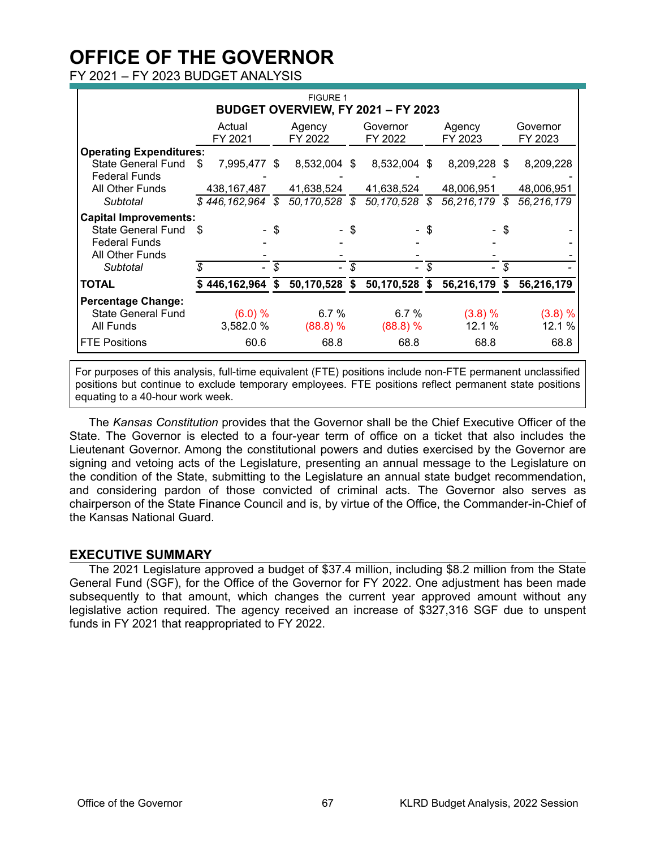# **OFFICE OF THE GOVERNOR**

FY 2021 – FY 2023 BUDGET ANALYSIS

| <b>FIGURE 1</b>                    |      |                          |      |              |          |                              |               |               |          |            |  |  |  |
|------------------------------------|------|--------------------------|------|--------------|----------|------------------------------|---------------|---------------|----------|------------|--|--|--|
| BUDGET OVERVIEW, FY 2021 - FY 2023 |      |                          |      |              |          |                              |               |               |          |            |  |  |  |
|                                    |      | Actual                   |      | Agency       | Governor |                              | Agency        |               | Governor |            |  |  |  |
|                                    |      | FY 2021                  |      | FY 2022      |          | FY 2022                      |               | FY 2023       |          | FY 2023    |  |  |  |
| <b>Operating Expenditures:</b>     |      |                          |      |              |          |                              |               |               |          |            |  |  |  |
| State General Fund                 | - \$ | 7,995,477 \$             |      | 8,532,004 \$ |          | 8,532,004 \$                 |               | 8,209,228 \$  |          | 8,209,228  |  |  |  |
| <b>Federal Funds</b>               |      |                          |      |              |          |                              |               |               |          |            |  |  |  |
| All Other Funds                    |      | 438,167,487              |      | 41,638,524   |          | 41,638,524                   |               | 48,006,951    |          | 48,006,951 |  |  |  |
| Subtotal                           |      | $$446, 162, 964$ \$      |      |              |          | 50,170,528 \$ 50,170,528 \$  |               | 56,216,179 \$ |          | 56,216,179 |  |  |  |
| <b>Capital Improvements:</b>       |      |                          |      |              |          |                              |               |               |          |            |  |  |  |
| State General Fund                 | - \$ |                          | - \$ |              | - \$     |                              | -\$           |               | - \$     |            |  |  |  |
| <b>Federal Funds</b>               |      |                          |      |              |          |                              |               |               |          |            |  |  |  |
| All Other Funds                    |      |                          |      |              |          |                              |               |               |          |            |  |  |  |
| Subtotal                           |      | $\overline{\phantom{0}}$ | \$   |              | - \$     | $\qquad \qquad \blacksquare$ | $\mathcal{S}$ |               | - \$     |            |  |  |  |
| <b>TOTAL</b>                       |      | $$446,162,964$ \$        |      |              |          | 50,170,528 \$ 50,170,528 \$  |               | 56,216,179 \$ |          | 56,216,179 |  |  |  |
| <b>Percentage Change:</b>          |      |                          |      |              |          |                              |               |               |          |            |  |  |  |
| <b>State General Fund</b>          |      | (6.0) %                  |      | 6.7 $%$      |          | 6.7%                         |               | (3.8) %       |          | (3.8) %    |  |  |  |
| All Funds                          |      | 3,582.0 %                |      | $(88.8)$ %   |          | $(88.8)$ %                   |               | 12.1 %        |          | 12.1%      |  |  |  |
| <b>FTE Positions</b>               |      | 60.6                     |      | 68.8         |          | 68.8                         |               | 68.8          |          | 68.8       |  |  |  |

For purposes of this analysis, full-time equivalent (FTE) positions include non-FTE permanent unclassified positions but continue to exclude temporary employees. FTE positions reflect permanent state positions equating to a 40-hour work week.

The *Kansas Constitution* provides that the Governor shall be the Chief Executive Officer of the State. The Governor is elected to a four-year term of office on a ticket that also includes the Lieutenant Governor. Among the constitutional powers and duties exercised by the Governor are signing and vetoing acts of the Legislature, presenting an annual message to the Legislature on the condition of the State, submitting to the Legislature an annual state budget recommendation, and considering pardon of those convicted of criminal acts. The Governor also serves as chairperson of the State Finance Council and is, by virtue of the Office, the Commander-in-Chief of the Kansas National Guard.

### **EXECUTIVE SUMMARY**

The 2021 Legislature approved a budget of \$37.4 million, including \$8.2 million from the State General Fund (SGF), for the Office of the Governor for FY 2022. One adjustment has been made subsequently to that amount, which changes the current year approved amount without any legislative action required. The agency received an increase of \$327,316 SGF due to unspent funds in FY 2021 that reappropriated to FY 2022.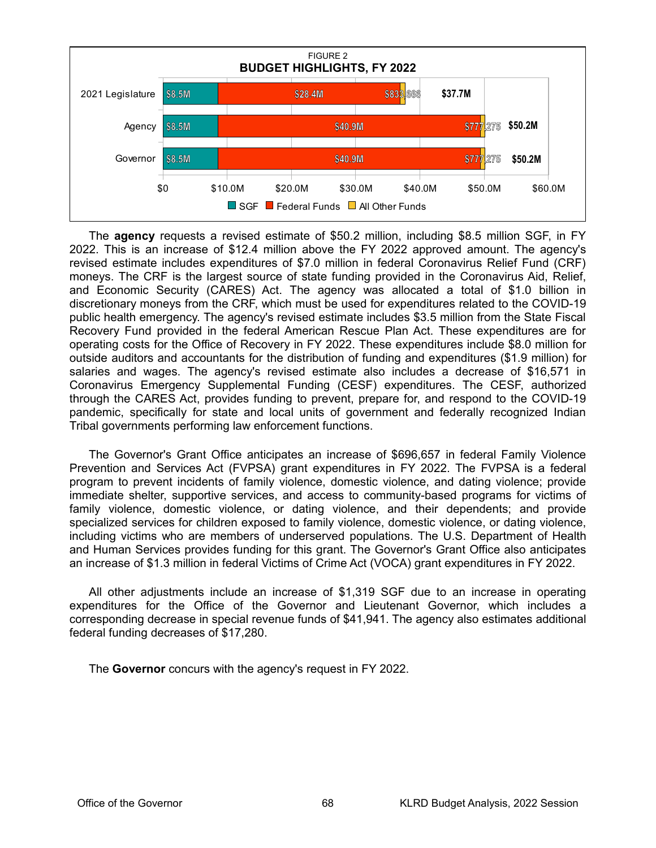

The **agency** requests a revised estimate of \$50.2 million, including \$8.5 million SGF, in FY 2022. This is an increase of \$12.4 million above the FY 2022 approved amount. The agency's revised estimate includes expenditures of \$7.0 million in federal Coronavirus Relief Fund (CRF) moneys. The CRF is the largest source of state funding provided in the Coronavirus Aid, Relief, and Economic Security (CARES) Act. The agency was allocated a total of \$1.0 billion in discretionary moneys from the CRF, which must be used for expenditures related to the COVID-19 public health emergency. The agency's revised estimate includes \$3.5 million from the State Fiscal Recovery Fund provided in the federal American Rescue Plan Act. These expenditures are for operating costs for the Office of Recovery in FY 2022. These expenditures include \$8.0 million for outside auditors and accountants for the distribution of funding and expenditures (\$1.9 million) for salaries and wages. The agency's revised estimate also includes a decrease of \$16,571 in Coronavirus Emergency Supplemental Funding (CESF) expenditures. The CESF, authorized through the CARES Act, provides funding to prevent, prepare for, and respond to the COVID-19 pandemic, specifically for state and local units of government and federally recognized Indian Tribal governments performing law enforcement functions.

The Governor's Grant Office anticipates an increase of \$696,657 in federal Family Violence Prevention and Services Act (FVPSA) grant expenditures in FY 2022. The FVPSA is a federal program to prevent incidents of family violence, domestic violence, and dating violence; provide immediate shelter, supportive services, and access to community-based programs for victims of family violence, domestic violence, or dating violence, and their dependents; and provide specialized services for children exposed to family violence, domestic violence, or dating violence, including victims who are members of underserved populations. The U.S. Department of Health and Human Services provides funding for this grant. The Governor's Grant Office also anticipates an increase of \$1.3 million in federal Victims of Crime Act (VOCA) grant expenditures in FY 2022.

All other adjustments include an increase of \$1,319 SGF due to an increase in operating expenditures for the Office of the Governor and Lieutenant Governor, which includes a corresponding decrease in special revenue funds of \$41,941. The agency also estimates additional federal funding decreases of \$17,280.

The **Governor** concurs with the agency's request in FY 2022.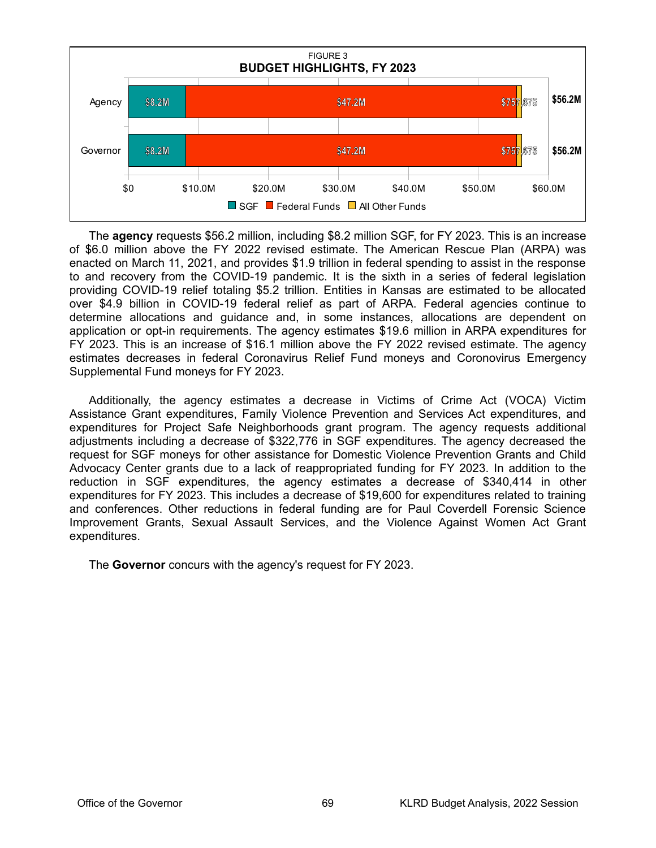

The **agency** requests \$56.2 million, including \$8.2 million SGF, for FY 2023. This is an increase of \$6.0 million above the FY 2022 revised estimate. The American Rescue Plan (ARPA) was enacted on March 11, 2021, and provides \$1.9 trillion in federal spending to assist in the response to and recovery from the COVID-19 pandemic. It is the sixth in a series of federal legislation providing COVID-19 relief totaling \$5.2 trillion. Entities in Kansas are estimated to be allocated over \$4.9 billion in COVID-19 federal relief as part of ARPA. Federal agencies continue to determine allocations and guidance and, in some instances, allocations are dependent on application or opt-in requirements. The agency estimates \$19.6 million in ARPA expenditures for FY 2023. This is an increase of \$16.1 million above the FY 2022 revised estimate. The agency estimates decreases in federal Coronavirus Relief Fund moneys and Coronovirus Emergency Supplemental Fund moneys for FY 2023.

Additionally, the agency estimates a decrease in Victims of Crime Act (VOCA) Victim Assistance Grant expenditures, Family Violence Prevention and Services Act expenditures, and expenditures for Project Safe Neighborhoods grant program. The agency requests additional adjustments including a decrease of \$322,776 in SGF expenditures. The agency decreased the request for SGF moneys for other assistance for Domestic Violence Prevention Grants and Child Advocacy Center grants due to a lack of reappropriated funding for FY 2023. In addition to the reduction in SGF expenditures, the agency estimates a decrease of \$340,414 in other expenditures for FY 2023. This includes a decrease of \$19,600 for expenditures related to training and conferences. Other reductions in federal funding are for Paul Coverdell Forensic Science Improvement Grants, Sexual Assault Services, and the Violence Against Women Act Grant expenditures.

The **Governor** concurs with the agency's request for FY 2023.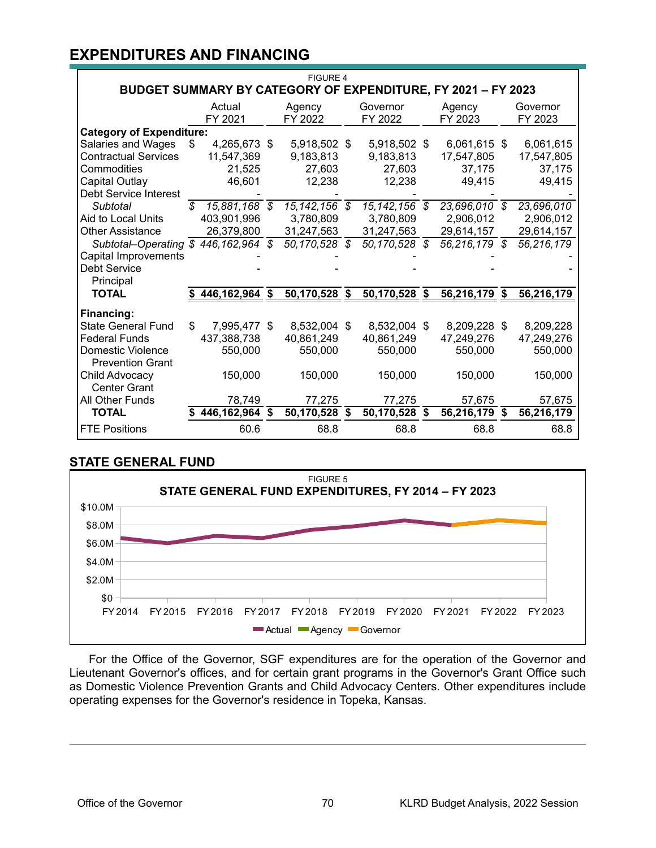# **EXPENDITURES AND FINANCING**

| <b>FIGURE 4</b><br>BUDGET SUMMARY BY CATEGORY OF EXPENDITURE, FY 2021 - FY 2023 |    |                   |    |                 |  |                 |    |                            |  |            |
|---------------------------------------------------------------------------------|----|-------------------|----|-----------------|--|-----------------|----|----------------------------|--|------------|
|                                                                                 |    |                   |    |                 |  |                 |    |                            |  |            |
|                                                                                 |    | Actual            |    | Agency          |  | Governor        |    | Agency                     |  | Governor   |
|                                                                                 |    | FY 2021           |    | FY 2022         |  | FY 2022         |    | FY 2023                    |  | FY 2023    |
| <b>Category of Expenditure:</b>                                                 |    |                   |    |                 |  |                 |    |                            |  |            |
| Salaries and Wages                                                              | \$ | 4,265,673 \$      |    | 5,918,502 \$    |  | 5,918,502 \$    |    | 6,061,615 \$               |  | 6,061,615  |
| <b>Contractual Services</b>                                                     |    | 11,547,369        |    | 9,183,813       |  | 9,183,813       |    | 17,547,805                 |  | 17,547,805 |
| Commodities                                                                     |    | 21,525            |    | 27,603          |  | 27,603          |    | 37,175                     |  | 37,175     |
| Capital Outlay                                                                  |    | 46,601            |    | 12,238          |  | 12,238          |    | 49,415                     |  | 49,415     |
| <b>Debt Service Interest</b>                                                    |    |                   |    |                 |  |                 |    |                            |  |            |
| Subtotal                                                                        | S. | 15,881,168 \$     |    | 15, 142, 156 \$ |  | 15, 142, 156 \$ |    | $\overline{23,696,010}$ \$ |  | 23,696,010 |
| Aid to Local Units                                                              |    | 403,901,996       |    | 3,780,809       |  | 3,780,809       |    | 2,906,012                  |  | 2,906,012  |
| Other Assistance                                                                |    | 26,379,800        |    | 31,247,563      |  | 31,247,563      |    | 29,614,157                 |  | 29,614,157 |
| Subtotal–Operating \$                                                           |    | 446, 162, 964 \$  |    | 50,170,528 \$   |  | 50,170,528 \$   |    | 56,216,179 \$              |  | 56,216,179 |
| Capital Improvements                                                            |    |                   |    |                 |  |                 |    |                            |  |            |
| Debt Service                                                                    |    |                   |    |                 |  |                 |    |                            |  |            |
| Principal<br><b>TOTAL</b>                                                       |    | $$446,162,964$ \$ |    | 50,170,528 \$   |  | 50,170,528 \$   |    | 56,216,179 \$              |  | 56,216,179 |
|                                                                                 |    |                   |    |                 |  |                 |    |                            |  |            |
| Financing:                                                                      |    |                   |    |                 |  |                 |    |                            |  |            |
| State General Fund                                                              | \$ | 7,995,477 \$      |    | 8,532,004 \$    |  | 8,532,004 \$    |    | 8,209,228 \$               |  | 8,209,228  |
| <b>Federal Funds</b>                                                            |    | 437,388,738       |    | 40,861,249      |  | 40,861,249      |    | 47,249,276                 |  | 47,249,276 |
| Domestic Violence                                                               |    | 550,000           |    | 550,000         |  | 550,000         |    | 550,000                    |  | 550,000    |
| <b>Prevention Grant</b>                                                         |    |                   |    |                 |  |                 |    |                            |  |            |
| Child Advocacy                                                                  |    | 150,000           |    | 150,000         |  | 150,000         |    | 150,000                    |  | 150,000    |
| <b>Center Grant</b>                                                             |    |                   |    |                 |  |                 |    |                            |  |            |
| All Other Funds                                                                 |    | 78,749            |    | 77,275          |  | 77,275          |    | 57,675                     |  | 57,675     |
| <b>TOTAL</b>                                                                    |    | \$446,162,964     | \$ | 50,170,528 \$   |  | 50,170,528      | \$ | 56,216,179 \$              |  | 56,216,179 |
| <b>FTE Positions</b>                                                            |    | 60.6              |    | 68.8            |  | 68.8            |    | 68.8                       |  | 68.8       |

### **STATE GENERAL FUND**



For the Office of the Governor, SGF expenditures are for the operation of the Governor and Lieutenant Governor's offices, and for certain grant programs in the Governor's Grant Office such as Domestic Violence Prevention Grants and Child Advocacy Centers. Other expenditures include operating expenses for the Governor's residence in Topeka, Kansas.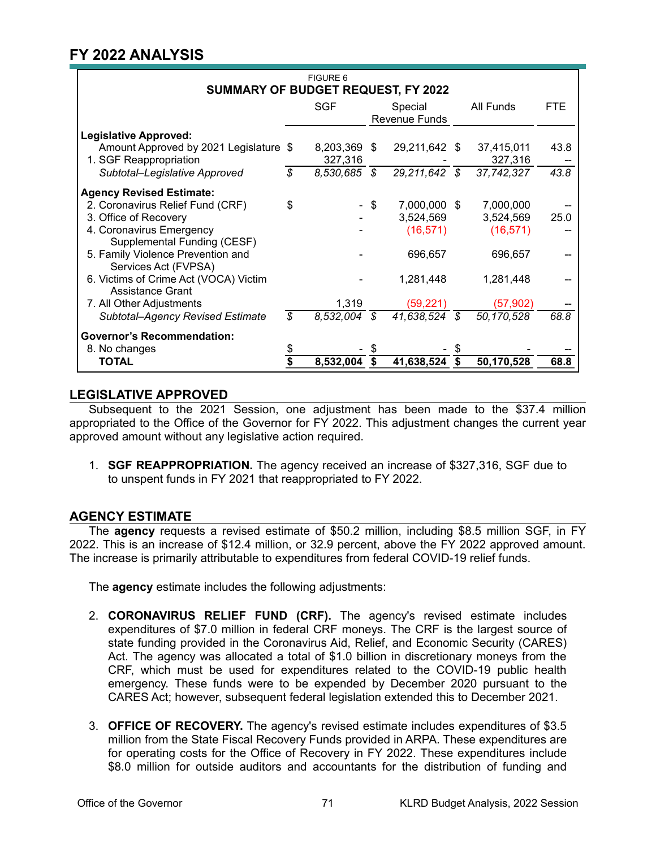# **FY 2022 ANALYSIS**

| FIGURE 6<br><b>SUMMARY OF BUDGET REQUEST, FY 2022</b>                                                                                                                                                                                                                             |    |                         |                            |                                                                |                            |                                                             |            |  |  |  |  |
|-----------------------------------------------------------------------------------------------------------------------------------------------------------------------------------------------------------------------------------------------------------------------------------|----|-------------------------|----------------------------|----------------------------------------------------------------|----------------------------|-------------------------------------------------------------|------------|--|--|--|--|
|                                                                                                                                                                                                                                                                                   |    | SGF                     |                            | Special<br><b>Revenue Funds</b>                                |                            | All Funds                                                   | <b>FTE</b> |  |  |  |  |
| <b>Legislative Approved:</b><br>Amount Approved by 2021 Legislature \$<br>1. SGF Reappropriation                                                                                                                                                                                  |    | 8,203,369 \$<br>327,316 |                            | 29,211,642 \$                                                  |                            | 37,415,011<br>327,316                                       | 43.8       |  |  |  |  |
| Subtotal-Legislative Approved                                                                                                                                                                                                                                                     | \$ | 8,530,685 \$            |                            | 29,211,642 \$                                                  |                            | 37,742,327                                                  | 43.8       |  |  |  |  |
| <b>Agency Revised Estimate:</b><br>2. Coronavirus Relief Fund (CRF)<br>3. Office of Recovery<br>4. Coronavirus Emergency<br>Supplemental Funding (CESF)<br>5. Family Violence Prevention and<br>Services Act (FVPSA)<br>6. Victims of Crime Act (VOCA) Victim<br>Assistance Grant | \$ |                         | - \$                       | 7,000,000 \$<br>3,524,569<br>(16, 571)<br>696,657<br>1,281,448 |                            | 7,000,000<br>3,524,569<br>(16, 571)<br>696,657<br>1,281,448 | 25.0       |  |  |  |  |
| 7. All Other Adjustments                                                                                                                                                                                                                                                          |    | 1,319                   |                            | (59, 221)                                                      |                            | (57, 902)                                                   |            |  |  |  |  |
| <b>Subtotal-Agency Revised Estimate</b>                                                                                                                                                                                                                                           | \$ | 8,532,004               | $\boldsymbol{\mathcal{S}}$ | 41,638,524                                                     | $\boldsymbol{\mathcal{S}}$ | 50,170,528                                                  | 68.8       |  |  |  |  |
| <b>Governor's Recommendation:</b>                                                                                                                                                                                                                                                 |    |                         |                            |                                                                |                            |                                                             |            |  |  |  |  |
| 8. No changes                                                                                                                                                                                                                                                                     |    |                         |                            |                                                                |                            |                                                             |            |  |  |  |  |
| TOTAL                                                                                                                                                                                                                                                                             |    | 8,532,004               | \$                         | 41,638,524                                                     | \$                         | 50,170,528                                                  | 68.8       |  |  |  |  |

### **LEGISLATIVE APPROVED**

Subsequent to the 2021 Session, one adjustment has been made to the \$37.4 million appropriated to the Office of the Governor for FY 2022. This adjustment changes the current year approved amount without any legislative action required.

1. **SGF REAPPROPRIATION.** The agency received an increase of \$327,316, SGF due to to unspent funds in FY 2021 that reappropriated to FY 2022.

### **AGENCY ESTIMATE**

The **agency** requests a revised estimate of \$50.2 million, including \$8.5 million SGF, in FY 2022. This is an increase of \$12.4 million, or 32.9 percent, above the FY 2022 approved amount. The increase is primarily attributable to expenditures from federal COVID-19 relief funds.

The **agency** estimate includes the following adjustments:

- 2. **CORONAVIRUS RELIEF FUND (CRF).** The agency's revised estimate includes expenditures of \$7.0 million in federal CRF moneys. The CRF is the largest source of state funding provided in the Coronavirus Aid, Relief, and Economic Security (CARES) Act. The agency was allocated a total of \$1.0 billion in discretionary moneys from the CRF, which must be used for expenditures related to the COVID-19 public health emergency. These funds were to be expended by December 2020 pursuant to the CARES Act; however, subsequent federal legislation extended this to December 2021.
- 3. **OFFICE OF RECOVERY.** The agency's revised estimate includes expenditures of \$3.5 million from the State Fiscal Recovery Funds provided in ARPA. These expenditures are for operating costs for the Office of Recovery in FY 2022. These expenditures include \$8.0 million for outside auditors and accountants for the distribution of funding and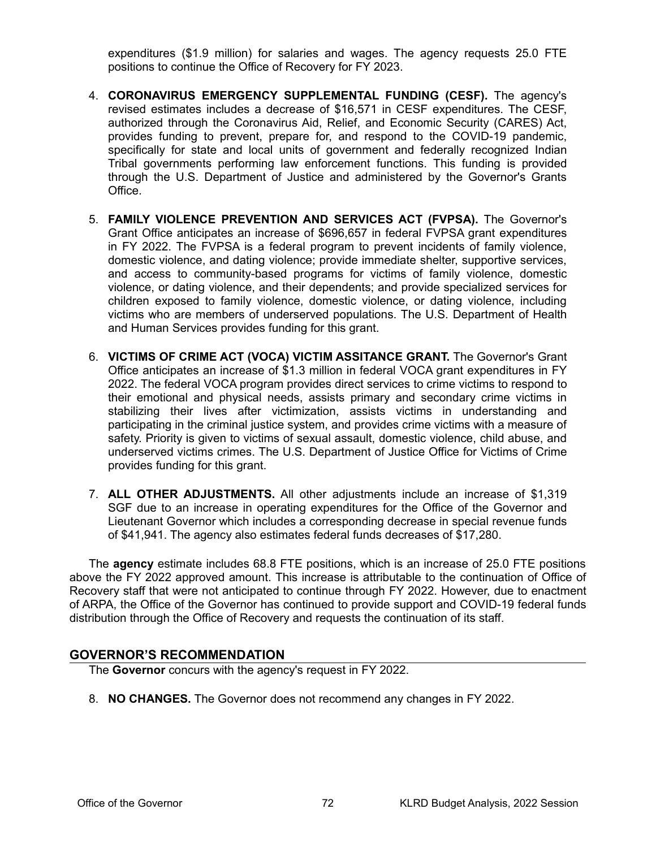expenditures (\$1.9 million) for salaries and wages. The agency requests 25.0 FTE positions to continue the Office of Recovery for FY 2023.

- 4. **CORONAVIRUS EMERGENCY SUPPLEMENTAL FUNDING (CESF).** The agency's revised estimates includes a decrease of \$16,571 in CESF expenditures. The CESF, authorized through the Coronavirus Aid, Relief, and Economic Security (CARES) Act, provides funding to prevent, prepare for, and respond to the COVID-19 pandemic, specifically for state and local units of government and federally recognized Indian Tribal governments performing law enforcement functions. This funding is provided through the U.S. Department of Justice and administered by the Governor's Grants Office.
- 5. **FAMILY VIOLENCE PREVENTION AND SERVICES ACT (FVPSA).** The Governor's Grant Office anticipates an increase of \$696,657 in federal FVPSA grant expenditures in FY 2022. The FVPSA is a federal program to prevent incidents of family violence, domestic violence, and dating violence; provide immediate shelter, supportive services, and access to community-based programs for victims of family violence, domestic violence, or dating violence, and their dependents; and provide specialized services for children exposed to family violence, domestic violence, or dating violence, including victims who are members of underserved populations. The U.S. Department of Health and Human Services provides funding for this grant.
- 6. **VICTIMS OF CRIME ACT (VOCA) VICTIM ASSITANCE GRANT.** The Governor's Grant Office anticipates an increase of \$1.3 million in federal VOCA grant expenditures in FY 2022. The federal VOCA program provides direct services to crime victims to respond to their emotional and physical needs, assists primary and secondary crime victims in stabilizing their lives after victimization, assists victims in understanding and participating in the criminal justice system, and provides crime victims with a measure of safety. Priority is given to victims of sexual assault, domestic violence, child abuse, and underserved victims crimes. The U.S. Department of Justice Office for Victims of Crime provides funding for this grant.
- 7. **ALL OTHER ADJUSTMENTS.** All other adjustments include an increase of \$1,319 SGF due to an increase in operating expenditures for the Office of the Governor and Lieutenant Governor which includes a corresponding decrease in special revenue funds of \$41,941. The agency also estimates federal funds decreases of \$17,280.

The **agency** estimate includes 68.8 FTE positions, which is an increase of 25.0 FTE positions above the FY 2022 approved amount. This increase is attributable to the continuation of Office of Recovery staff that were not anticipated to continue through FY 2022. However, due to enactment of ARPA, the Office of the Governor has continued to provide support and COVID-19 federal funds distribution through the Office of Recovery and requests the continuation of its staff.

### **GOVERNOR'S RECOMMENDATION**

The **Governor** concurs with the agency's request in FY 2022.

8. **NO CHANGES.** The Governor does not recommend any changes in FY 2022.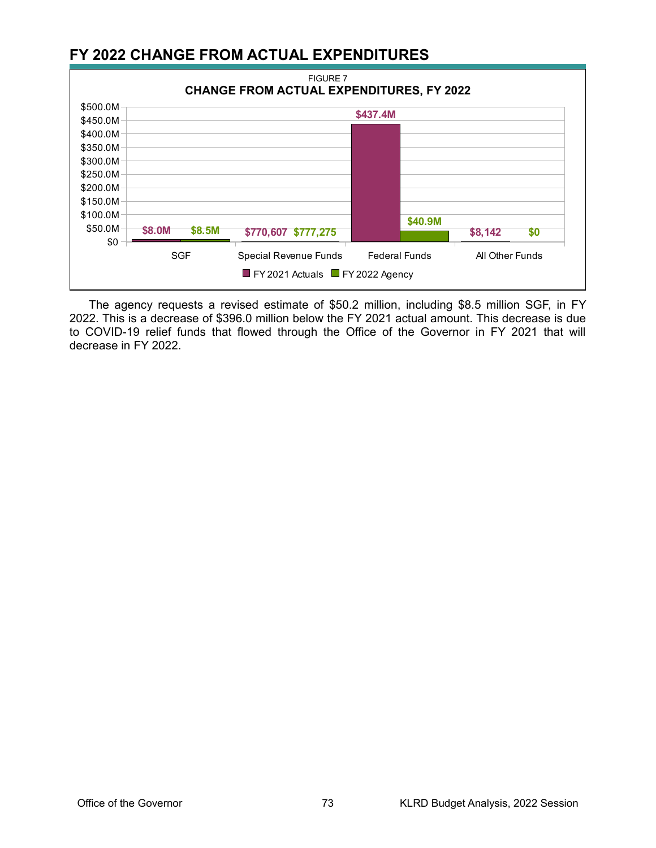# **FY 2022 CHANGE FROM ACTUAL EXPENDITURES**



The agency requests a revised estimate of \$50.2 million, including \$8.5 million SGF, in FY 2022. This is a decrease of \$396.0 million below the FY 2021 actual amount. This decrease is due to COVID-19 relief funds that flowed through the Office of the Governor in FY 2021 that will decrease in FY 2022.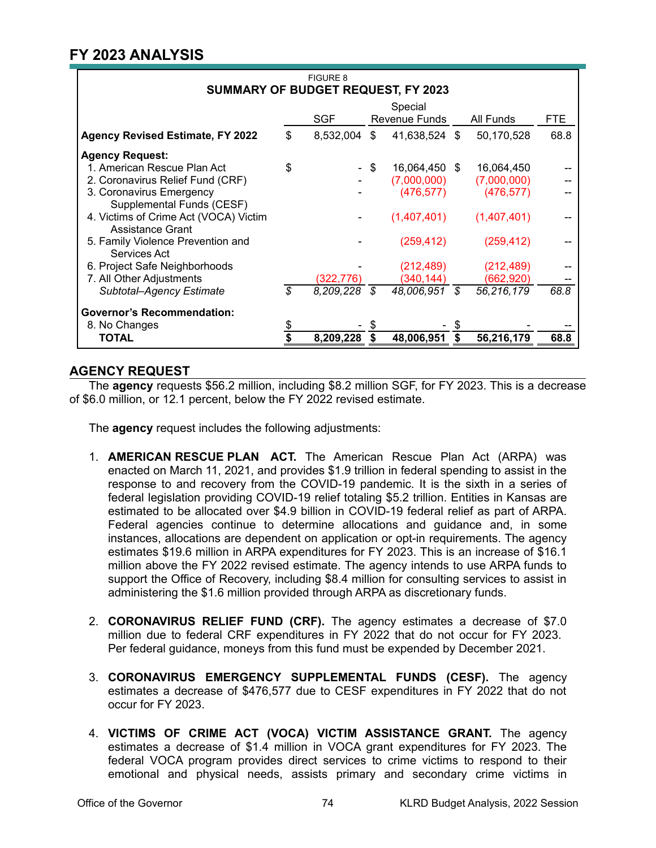# **FY 2023 ANALYSIS**

| <b>FIGURE 8</b><br><b>SUMMARY OF BUDGET REQUEST, FY 2023</b> |               |              |      |               |    |             |      |  |  |  |  |
|--------------------------------------------------------------|---------------|--------------|------|---------------|----|-------------|------|--|--|--|--|
|                                                              |               |              |      | Special       |    |             |      |  |  |  |  |
|                                                              |               | SGF          |      | Revenue Funds |    | All Funds   | FTE  |  |  |  |  |
| <b>Agency Revised Estimate, FY 2022</b>                      | \$            | 8,532,004 \$ |      | 41,638,524 \$ |    | 50,170,528  | 68.8 |  |  |  |  |
| <b>Agency Request:</b>                                       |               |              |      |               |    |             |      |  |  |  |  |
| 1. American Rescue Plan Act                                  | \$            |              | - \$ | 16,064,450 \$ |    | 16,064,450  |      |  |  |  |  |
| 2. Coronavirus Relief Fund (CRF)                             |               |              |      | (7,000,000)   |    | (7,000,000) |      |  |  |  |  |
| 3. Coronavirus Emergency<br>Supplemental Funds (CESF)        |               |              |      | (476,577)     |    | (476, 577)  |      |  |  |  |  |
| 4. Victims of Crime Act (VOCA) Victim<br>Assistance Grant    |               |              |      | (1,407,401)   |    | (1,407,401) |      |  |  |  |  |
| 5. Family Violence Prevention and<br>Services Act            |               |              |      | (259, 412)    |    | (259, 412)  |      |  |  |  |  |
| 6. Project Safe Neighborhoods                                |               |              |      | (212, 489)    |    | (212, 489)  |      |  |  |  |  |
| 7. All Other Adjustments                                     |               | (322,776)    |      | (340,144)     |    | (662, 920)  |      |  |  |  |  |
| Subtotal–Agency Estimate                                     | $\mathcal{S}$ | 8,209,228 \$ |      | 48,006,951    | \$ | 56,216,179  | 68.8 |  |  |  |  |
| <b>Governor's Recommendation:</b>                            |               |              |      |               |    |             |      |  |  |  |  |
| 8. No Changes                                                |               |              | \$   |               | £. |             |      |  |  |  |  |
| <b>TOTAL</b>                                                 |               | 8,209,228    | \$   | 48,006,951    | \$ | 56,216,179  | 68.8 |  |  |  |  |

### **AGENCY REQUEST**

The **agency** requests \$56.2 million, including \$8.2 million SGF, for FY 2023. This is a decrease of \$6.0 million, or 12.1 percent, below the FY 2022 revised estimate.

The **agency** request includes the following adjustments:

- 1. **AMERICAN RESCUE PLAN ACT.** The American Rescue Plan Act (ARPA) was enacted on March 11, 2021, and provides \$1.9 trillion in federal spending to assist in the response to and recovery from the COVID-19 pandemic. It is the sixth in a series of federal legislation providing COVID-19 relief totaling \$5.2 trillion. Entities in Kansas are estimated to be allocated over \$4.9 billion in COVID-19 federal relief as part of ARPA. Federal agencies continue to determine allocations and guidance and, in some instances, allocations are dependent on application or opt-in requirements. The agency estimates \$19.6 million in ARPA expenditures for FY 2023. This is an increase of \$16.1 million above the FY 2022 revised estimate. The agency intends to use ARPA funds to support the Office of Recovery, including \$8.4 million for consulting services to assist in administering the \$1.6 million provided through ARPA as discretionary funds.
- 2. **CORONAVIRUS RELIEF FUND (CRF).** The agency estimates a decrease of \$7.0 million due to federal CRF expenditures in FY 2022 that do not occur for FY 2023. Per federal guidance, moneys from this fund must be expended by December 2021.
- 3. **CORONAVIRUS EMERGENCY SUPPLEMENTAL FUNDS (CESF).** The agency estimates a decrease of \$476,577 due to CESF expenditures in FY 2022 that do not occur for FY 2023.
- 4. **VICTIMS OF CRIME ACT (VOCA) VICTIM ASSISTANCE GRANT.** The agency estimates a decrease of \$1.4 million in VOCA grant expenditures for FY 2023. The federal VOCA program provides direct services to crime victims to respond to their emotional and physical needs, assists primary and secondary crime victims in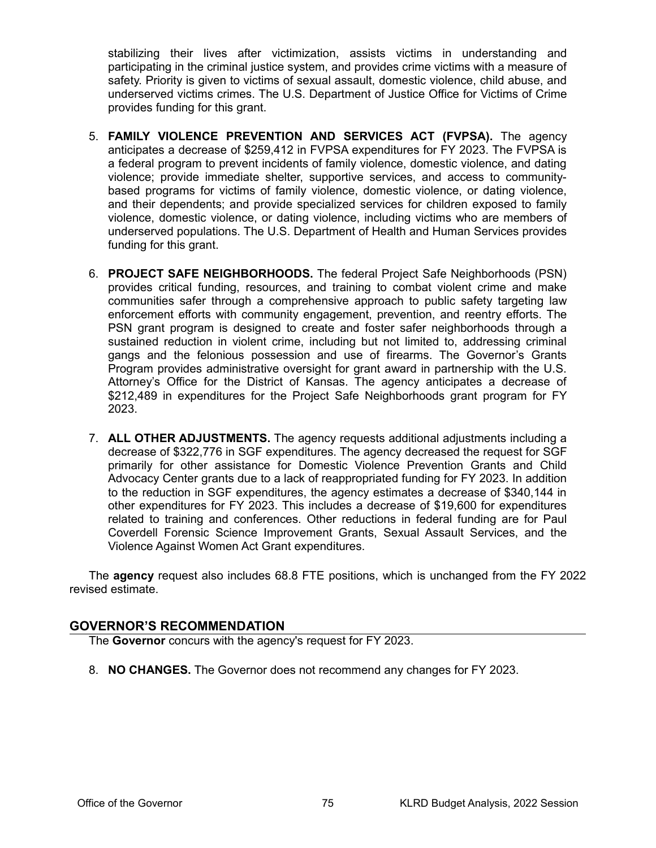stabilizing their lives after victimization, assists victims in understanding and participating in the criminal justice system, and provides crime victims with a measure of safety. Priority is given to victims of sexual assault, domestic violence, child abuse, and underserved victims crimes. The U.S. Department of Justice Office for Victims of Crime provides funding for this grant.

- 5. **FAMILY VIOLENCE PREVENTION AND SERVICES ACT (FVPSA).** The agency anticipates a decrease of \$259,412 in FVPSA expenditures for FY 2023. The FVPSA is a federal program to prevent incidents of family violence, domestic violence, and dating violence; provide immediate shelter, supportive services, and access to communitybased programs for victims of family violence, domestic violence, or dating violence, and their dependents; and provide specialized services for children exposed to family violence, domestic violence, or dating violence, including victims who are members of underserved populations. The U.S. Department of Health and Human Services provides funding for this grant.
- 6. **PROJECT SAFE NEIGHBORHOODS.** The federal Project Safe Neighborhoods (PSN) provides critical funding, resources, and training to combat violent crime and make communities safer through a comprehensive approach to public safety targeting law enforcement efforts with community engagement, prevention, and reentry efforts. The PSN grant program is designed to create and foster safer neighborhoods through a sustained reduction in violent crime, including but not limited to, addressing criminal gangs and the felonious possession and use of firearms. The Governor's Grants Program provides administrative oversight for grant award in partnership with the U.S. Attorney's Office for the District of Kansas. The agency anticipates a decrease of \$212,489 in expenditures for the Project Safe Neighborhoods grant program for FY 2023.
- 7. **ALL OTHER ADJUSTMENTS.** The agency requests additional adjustments including a decrease of \$322,776 in SGF expenditures. The agency decreased the request for SGF primarily for other assistance for Domestic Violence Prevention Grants and Child Advocacy Center grants due to a lack of reappropriated funding for FY 2023. In addition to the reduction in SGF expenditures, the agency estimates a decrease of \$340,144 in other expenditures for FY 2023. This includes a decrease of \$19,600 for expenditures related to training and conferences. Other reductions in federal funding are for Paul Coverdell Forensic Science Improvement Grants, Sexual Assault Services, and the Violence Against Women Act Grant expenditures.

The **agency** request also includes 68.8 FTE positions, which is unchanged from the FY 2022 revised estimate.

### **GOVERNOR'S RECOMMENDATION**

The **Governor** concurs with the agency's request for FY 2023.

8. **NO CHANGES.** The Governor does not recommend any changes for FY 2023.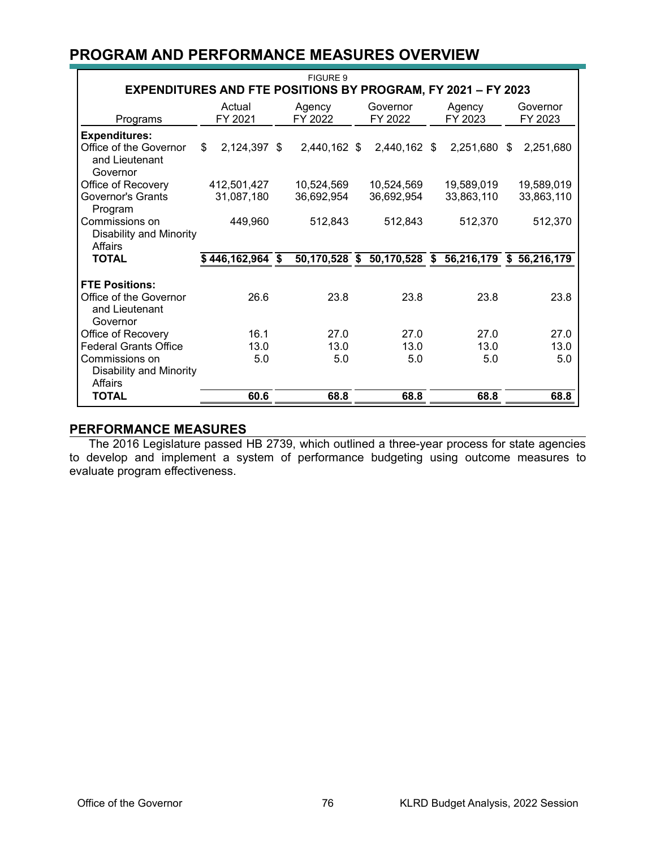# **PROGRAM AND PERFORMANCE MEASURES OVERVIEW**

| FIGURE 9<br><b>EXPENDITURES AND FTE POSITIONS BY PROGRAM, FY 2021 - FY 2023</b> |                           |  |                          |                     |                          |  |                                        |                     |                          |  |  |
|---------------------------------------------------------------------------------|---------------------------|--|--------------------------|---------------------|--------------------------|--|----------------------------------------|---------------------|--------------------------|--|--|
| Programs                                                                        | Actual<br>FY 2021         |  | Agency<br>FY 2022        | Governor<br>FY 2022 |                          |  | Agency<br>FY 2023                      | Governor<br>FY 2023 |                          |  |  |
| <b>Expenditures:</b><br>Office of the Governor<br>and Lieutenant<br>Governor    | \$<br>2,124,397 \$        |  | 2,440,162 \$             |                     | 2,440,162 \$             |  | 2,251,680                              | \$                  | 2,251,680                |  |  |
| Office of Recovery<br>Governor's Grants<br>Program                              | 412,501,427<br>31,087,180 |  | 10,524,569<br>36,692,954 |                     | 10,524,569<br>36,692,954 |  | 19,589,019<br>33,863,110               |                     | 19,589,019<br>33,863,110 |  |  |
| Commissions on<br>Disability and Minority<br>Affairs                            | 449,960                   |  | 512,843                  |                     | 512,843                  |  | 512,370                                |                     | 512,370                  |  |  |
| <b>TOTAL</b>                                                                    | $$446,162,964$ \$         |  | 50,170,528 \$            |                     |                          |  | 50,170,528 \$ 56,216,179 \$ 56,216,179 |                     |                          |  |  |
| <b>FTE Positions:</b><br>Office of the Governor<br>and Lieutenant<br>Governor   | 26.6                      |  | 23.8                     |                     | 23.8                     |  | 23.8                                   |                     | 23.8                     |  |  |
| Office of Recovery<br><b>Federal Grants Office</b>                              | 16.1<br>13.0              |  | 27.0<br>13.0             |                     | 27.0<br>13.0             |  | 27.0<br>13.0                           |                     | 27.0<br>13.0             |  |  |
| Commissions on<br>Disability and Minority<br>Affairs                            | 5.0                       |  | 5.0                      |                     | 5.0                      |  | 5.0                                    |                     | 5.0                      |  |  |
| <b>TOTAL</b>                                                                    | 60.6                      |  | 68.8                     |                     | 68.8                     |  | 68.8                                   |                     | 68.8                     |  |  |

### **PERFORMANCE MEASURES**

The 2016 Legislature passed HB 2739, which outlined a three-year process for state agencies to develop and implement a system of performance budgeting using outcome measures to evaluate program effectiveness.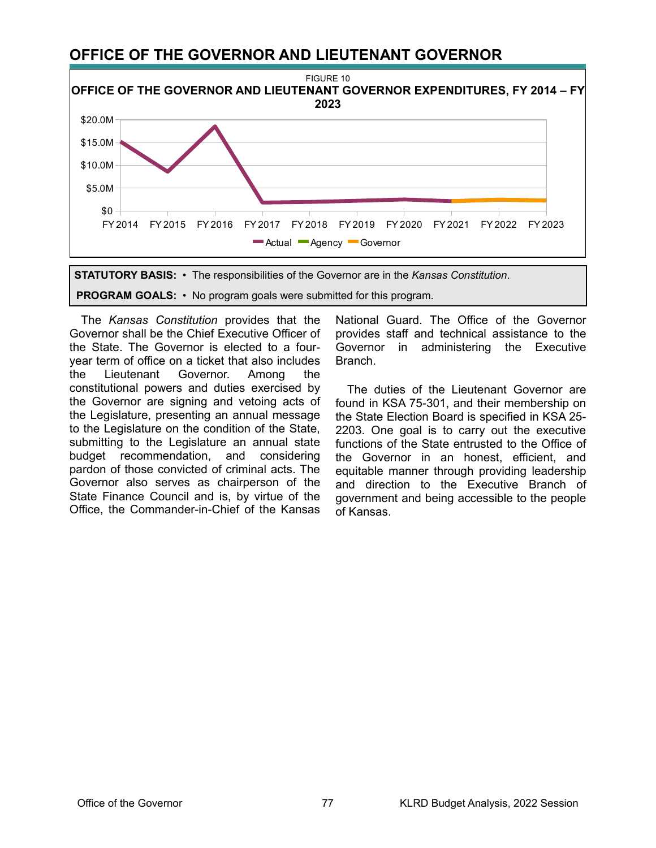# **OFFICE OF THE GOVERNOR AND LIEUTENANT GOVERNOR**



The *Kansas Constitution* provides that the Governor shall be the Chief Executive Officer of the State. The Governor is elected to a fouryear term of office on a ticket that also includes the Lieutenant Governor. Among the constitutional powers and duties exercised by the Governor are signing and vetoing acts of the Legislature, presenting an annual message to the Legislature on the condition of the State, submitting to the Legislature an annual state budget recommendation, and considering pardon of those convicted of criminal acts. The Governor also serves as chairperson of the State Finance Council and is, by virtue of the Office, the Commander-in-Chief of the Kansas National Guard. The Office of the Governor provides staff and technical assistance to the Governor in administering the Executive **Branch** 

The duties of the Lieutenant Governor are found in KSA 75-301, and their membership on the State Election Board is specified in KSA 25- 2203. One goal is to carry out the executive functions of the State entrusted to the Office of the Governor in an honest, efficient, and equitable manner through providing leadership and direction to the Executive Branch of government and being accessible to the people of Kansas.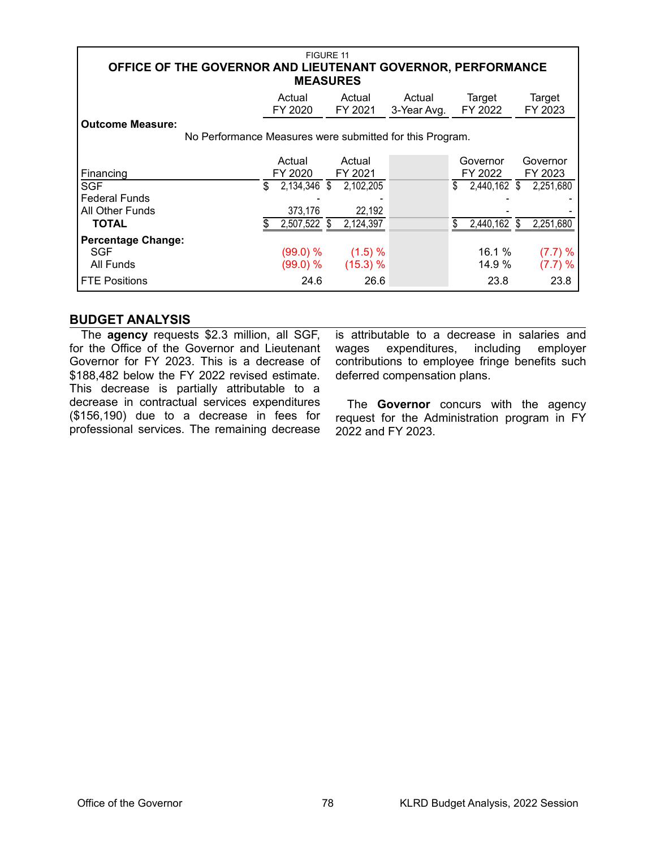| FIGURE 11<br>OFFICE OF THE GOVERNOR AND LIEUTENANT GOVERNOR, PERFORMANCE |                                                          |                           |                       |                      |                     |  |  |  |  |  |  |
|--------------------------------------------------------------------------|----------------------------------------------------------|---------------------------|-----------------------|----------------------|---------------------|--|--|--|--|--|--|
| <b>MEASURES</b>                                                          |                                                          |                           |                       |                      |                     |  |  |  |  |  |  |
|                                                                          | Actual<br>FY 2020                                        | Actual<br>FY 2021         | Actual<br>3-Year Avg. | Target<br>FY 2022    | Target<br>FY 2023   |  |  |  |  |  |  |
| <b>Outcome Measure:</b>                                                  | No Performance Measures were submitted for this Program. |                           |                       |                      |                     |  |  |  |  |  |  |
| Financing                                                                | Actual<br>FY 2020                                        | Actual<br>FY 2021         |                       | Governor<br>FY 2022  | Governor<br>FY 2023 |  |  |  |  |  |  |
| <b>SGF</b>                                                               | \$                                                       | 2,134,346 \$<br>2,102,205 |                       | \$<br>2,440,162 \$   | 2,251,680           |  |  |  |  |  |  |
| <b>Federal Funds</b><br>All Other Funds                                  |                                                          | 373,176                   | 22,192                |                      |                     |  |  |  |  |  |  |
| <b>TOTAL</b>                                                             | S                                                        | 2,507,522 \$<br>2,124,397 |                       | \$<br>$2,440,162$ \$ | 2,251,680           |  |  |  |  |  |  |
| <b>Percentage Change:</b>                                                |                                                          |                           |                       |                      |                     |  |  |  |  |  |  |
| <b>SGF</b><br>All Funds                                                  |                                                          | (99.0) %<br>(99.0) %      | (1.5) %<br>(15.3) %   | 16.1 %<br>14.9 %     | (7.7) %<br>(7.7) %  |  |  |  |  |  |  |
| <b>FTE Positions</b>                                                     |                                                          | 24.6                      | 26.6                  | 23.8                 | 23.8                |  |  |  |  |  |  |

### **BUDGET ANALYSIS**

The **agency** requests \$2.3 million, all SGF, for the Office of the Governor and Lieutenant Governor for FY 2023. This is a decrease of \$188,482 below the FY 2022 revised estimate. This decrease is partially attributable to a decrease in contractual services expenditures (\$156,190) due to a decrease in fees for professional services. The remaining decrease

is attributable to a decrease in salaries and wages expenditures, including employer contributions to employee fringe benefits such deferred compensation plans.

The **Governor** concurs with the agency request for the Administration program in FY 2022 and FY 2023.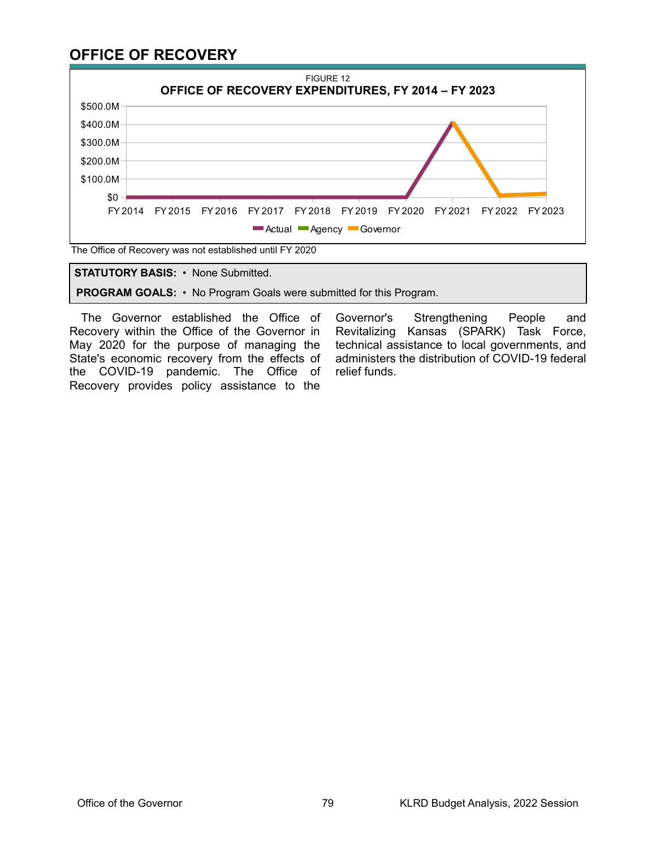# **OFFICE OF RECOVERY**



**STATUTORY BASIS:** • None Submitted.

**PROGRAM GOALS:** • No Program Goals were submitted for this Program.

The Governor established the Office of Recovery within the Office of the Governor in May 2020 for the purpose of managing the State's economic recovery from the effects of the COVID-19 pandemic. The Office of Recovery provides policy assistance to the

Governor's Strengthening People and Revitalizing Kansas (SPARK) Task Force, technical assistance to local governments, and administers the distribution of COVID-19 federal relief funds.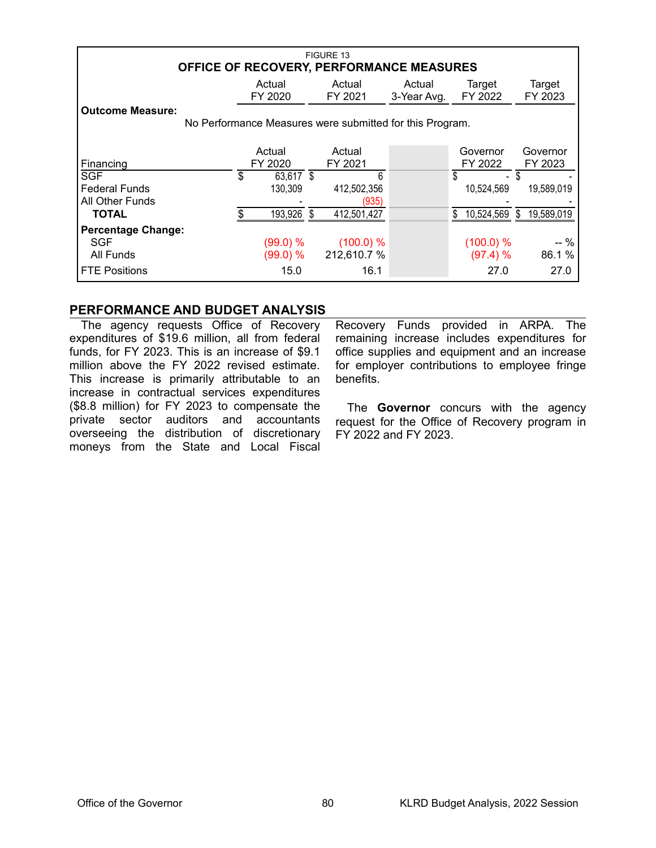| FIGURE 13<br>OFFICE OF RECOVERY, PERFORMANCE MEASURES                               |    |                      |    |                          |                       |                       |                     |  |  |  |  |  |
|-------------------------------------------------------------------------------------|----|----------------------|----|--------------------------|-----------------------|-----------------------|---------------------|--|--|--|--|--|
|                                                                                     |    | Actual<br>FY 2020    |    | Actual<br>FY 2021        | Actual<br>3-Year Avg. | Target<br>FY 2022     | Target<br>FY 2023   |  |  |  |  |  |
| <b>Outcome Measure:</b><br>No Performance Measures were submitted for this Program. |    |                      |    |                          |                       |                       |                     |  |  |  |  |  |
| Financing                                                                           |    | Actual<br>FY 2020    |    | Actual<br>FY 2021        |                       | Governor<br>FY 2022   | Governor<br>FY 2023 |  |  |  |  |  |
| <b>SGF</b><br><b>Federal Funds</b>                                                  | \$ | 63,617 \$<br>130,309 |    | հ                        |                       | \$                    | \$.                 |  |  |  |  |  |
| All Other Funds                                                                     |    |                      |    | 412,502,356<br>(935)     |                       | 10,524,569            | 19,589,019          |  |  |  |  |  |
| <b>TOTAL</b>                                                                        |    | 193,926              | \$ | 412,501,427              |                       | 10,524,569<br>\$      | 19,589,019<br>\$    |  |  |  |  |  |
| <b>Percentage Change:</b><br><b>SGF</b><br>All Funds                                |    | (99.0) %<br>(99.0) % |    | (100.0) %<br>212,610.7 % |                       | (100.0) %<br>(97.4) % | -- %<br>86.1 %      |  |  |  |  |  |
| <b>FTE Positions</b>                                                                |    | 15.0                 |    | 16.1                     |                       | 27.0                  | 27.0                |  |  |  |  |  |

### **PERFORMANCE AND BUDGET ANALYSIS**

The agency requests Office of Recovery expenditures of \$19.6 million, all from federal funds, for FY 2023. This is an increase of \$9.1 million above the FY 2022 revised estimate. This increase is primarily attributable to an increase in contractual services expenditures (\$8.8 million) for FY 2023 to compensate the private sector auditors and accountants overseeing the distribution of discretionary moneys from the State and Local Fiscal

Recovery Funds provided in ARPA. The remaining increase includes expenditures for office supplies and equipment and an increase for employer contributions to employee fringe benefits.

The **Governor** concurs with the agency request for the Office of Recovery program in FY 2022 and FY 2023.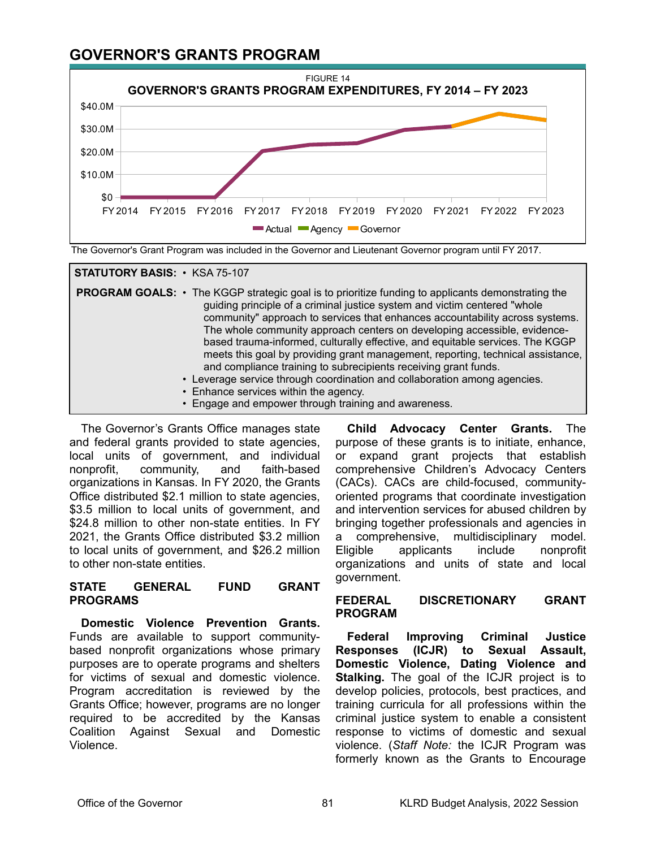### **GOVERNOR'S GRANTS PROGRAM**



The Governor's Grant Program was included in the Governor and Lieutenant Governor program until FY 2017.



The Governor's Grants Office manages state and federal grants provided to state agencies, local units of government, and individual nonprofit, community, and faith-based organizations in Kansas. In FY 2020, the Grants Office distributed \$2.1 million to state agencies, \$3.5 million to local units of government, and \$24.8 million to other non-state entities. In FY 2021, the Grants Office distributed \$3.2 million to local units of government, and \$26.2 million to other non-state entities.

### **STATE GENERAL FUND GRANT PROGRAMS**

**Domestic Violence Prevention Grants.** Funds are available to support communitybased nonprofit organizations whose primary purposes are to operate programs and shelters for victims of sexual and domestic violence. Program accreditation is reviewed by the Grants Office; however, programs are no longer required to be accredited by the Kansas Coalition Against Sexual and Domestic Violence.

**Child Advocacy Center Grants.** The purpose of these grants is to initiate, enhance, or expand grant projects that establish comprehensive Children's Advocacy Centers (CACs). CACs are child-focused, communityoriented programs that coordinate investigation and intervention services for abused children by bringing together professionals and agencies in a comprehensive, multidisciplinary model. Eligible applicants include nonprofit organizations and units of state and local government.

#### **FEDERAL DISCRETIONARY GRANT PROGRAM**

**Federal Improving Criminal Justice Responses (ICJR) to Sexual Assault, Domestic Violence, Dating Violence and Stalking.** The goal of the ICJR project is to develop policies, protocols, best practices, and training curricula for all professions within the criminal justice system to enable a consistent response to victims of domestic and sexual violence. (*Staff Note:* the ICJR Program was formerly known as the Grants to Encourage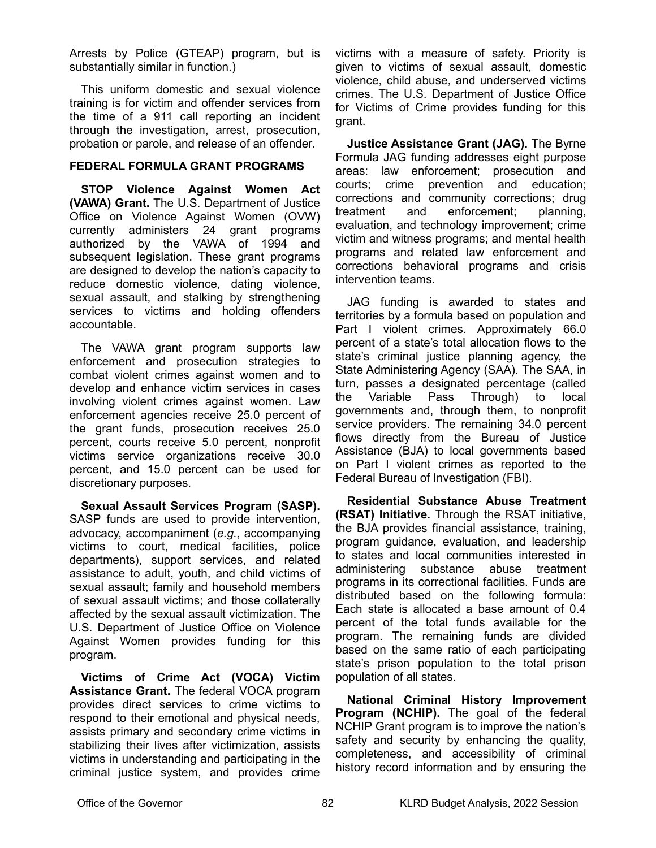Arrests by Police (GTEAP) program, but is substantially similar in function.)

This uniform domestic and sexual violence training is for victim and offender services from the time of a 911 call reporting an incident through the investigation, arrest, prosecution, probation or parole, and release of an offender.

#### **FEDERAL FORMULA GRANT PROGRAMS**

**STOP Violence Against Women Act (VAWA) Grant.** The U.S. Department of Justice Office on Violence Against Women (OVW) currently administers 24 grant programs authorized by the VAWA of 1994 and subsequent legislation. These grant programs are designed to develop the nation's capacity to reduce domestic violence, dating violence, sexual assault, and stalking by strengthening services to victims and holding offenders accountable.

The VAWA grant program supports law enforcement and prosecution strategies to combat violent crimes against women and to develop and enhance victim services in cases involving violent crimes against women. Law enforcement agencies receive 25.0 percent of the grant funds, prosecution receives 25.0 percent, courts receive 5.0 percent, nonprofit victims service organizations receive 30.0 percent, and 15.0 percent can be used for discretionary purposes.

**Sexual Assault Services Program (SASP).** SASP funds are used to provide intervention, advocacy, accompaniment (*e.g.*, accompanying victims to court, medical facilities, police departments), support services, and related assistance to adult, youth, and child victims of sexual assault; family and household members of sexual assault victims; and those collaterally affected by the sexual assault victimization. The U.S. Department of Justice Office on Violence Against Women provides funding for this program.

**Victims of Crime Act (VOCA) Victim Assistance Grant.** The federal VOCA program provides direct services to crime victims to respond to their emotional and physical needs, assists primary and secondary crime victims in stabilizing their lives after victimization, assists victims in understanding and participating in the criminal justice system, and provides crime victims with a measure of safety. Priority is given to victims of sexual assault, domestic violence, child abuse, and underserved victims crimes. The U.S. Department of Justice Office for Victims of Crime provides funding for this grant.

**Justice Assistance Grant (JAG).** The Byrne Formula JAG funding addresses eight purpose areas: law enforcement; prosecution and courts; crime prevention and education; corrections and community corrections; drug treatment and enforcement; planning, evaluation, and technology improvement; crime victim and witness programs; and mental health programs and related law enforcement and corrections behavioral programs and crisis intervention teams.

JAG funding is awarded to states and territories by a formula based on population and Part I violent crimes. Approximately 66.0 percent of a state's total allocation flows to the state's criminal justice planning agency, the State Administering Agency (SAA). The SAA, in turn, passes a designated percentage (called the Variable Pass Through) to local governments and, through them, to nonprofit service providers. The remaining 34.0 percent flows directly from the Bureau of Justice Assistance (BJA) to local governments based on Part I violent crimes as reported to the Federal Bureau of Investigation (FBI).

**Residential Substance Abuse Treatment (RSAT) Initiative.** Through the RSAT initiative, the BJA provides financial assistance, training, program guidance, evaluation, and leadership to states and local communities interested in administering substance abuse treatment programs in its correctional facilities. Funds are distributed based on the following formula: Each state is allocated a base amount of 0.4 percent of the total funds available for the program. The remaining funds are divided based on the same ratio of each participating state's prison population to the total prison population of all states.

**National Criminal History Improvement Program (NCHIP).** The goal of the federal NCHIP Grant program is to improve the nation's safety and security by enhancing the quality, completeness, and accessibility of criminal history record information and by ensuring the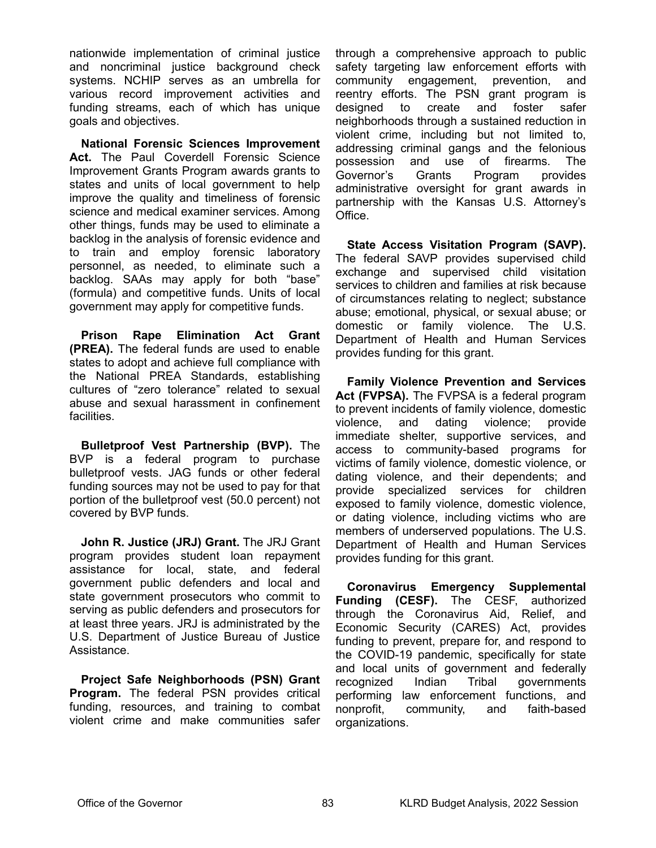nationwide implementation of criminal justice and noncriminal justice background check systems. NCHIP serves as an umbrella for various record improvement activities and funding streams, each of which has unique goals and objectives.

**National Forensic Sciences Improvement Act.** The Paul Coverdell Forensic Science Improvement Grants Program awards grants to states and units of local government to help improve the quality and timeliness of forensic science and medical examiner services. Among other things, funds may be used to eliminate a backlog in the analysis of forensic evidence and to train and employ forensic laboratory personnel, as needed, to eliminate such a backlog. SAAs may apply for both "base" (formula) and competitive funds. Units of local government may apply for competitive funds.

**Prison Rape Elimination Act Grant (PREA).** The federal funds are used to enable states to adopt and achieve full compliance with the National PREA Standards, establishing cultures of "zero tolerance" related to sexual abuse and sexual harassment in confinement facilities.

**Bulletproof Vest Partnership (BVP).** The BVP is a federal program to purchase bulletproof vests. JAG funds or other federal funding sources may not be used to pay for that portion of the bulletproof vest (50.0 percent) not covered by BVP funds.

**John R. Justice (JRJ) Grant.** The JRJ Grant program provides student loan repayment assistance for local, state, and federal government public defenders and local and state government prosecutors who commit to serving as public defenders and prosecutors for at least three years. JRJ is administrated by the U.S. Department of Justice Bureau of Justice Assistance.

**Project Safe Neighborhoods (PSN) Grant Program.** The federal PSN provides critical funding, resources, and training to combat violent crime and make communities safer

through a comprehensive approach to public safety targeting law enforcement efforts with community engagement, prevention, and reentry efforts. The PSN grant program is designed to create and foster safer neighborhoods through a sustained reduction in violent crime, including but not limited to, addressing criminal gangs and the felonious possession and use of firearms. The Governor's Grants Program provides administrative oversight for grant awards in partnership with the Kansas U.S. Attorney's Office.

**State Access Visitation Program (SAVP).** The federal SAVP provides supervised child exchange and supervised child visitation services to children and families at risk because of circumstances relating to neglect; substance abuse; emotional, physical, or sexual abuse; or domestic or family violence. The U.S. Department of Health and Human Services provides funding for this grant.

**Family Violence Prevention and Services Act (FVPSA).** The FVPSA is a federal program to prevent incidents of family violence, domestic violence, and dating violence; provide immediate shelter, supportive services, and access to community-based programs for victims of family violence, domestic violence, or dating violence, and their dependents; and provide specialized services for children exposed to family violence, domestic violence, or dating violence, including victims who are members of underserved populations. The U.S. Department of Health and Human Services provides funding for this grant.

**Coronavirus Emergency Supplemental Funding (CESF).** The CESF, authorized through the Coronavirus Aid, Relief, and Economic Security (CARES) Act, provides funding to prevent, prepare for, and respond to the COVID-19 pandemic, specifically for state and local units of government and federally recognized Indian Tribal governments performing law enforcement functions, and nonprofit, community, and faith-based organizations.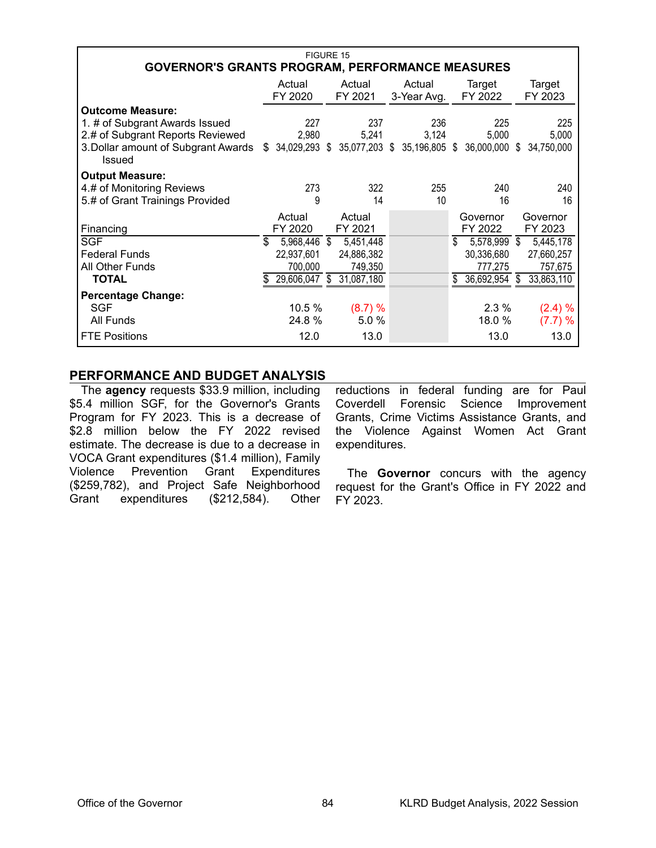| <b>FIGURE 15</b><br><b>GOVERNOR'S GRANTS PROGRAM, PERFORMANCE MEASURES</b> |                   |              |                   |                                 |                       |               |    |                   |    |                   |  |
|----------------------------------------------------------------------------|-------------------|--------------|-------------------|---------------------------------|-----------------------|---------------|----|-------------------|----|-------------------|--|
|                                                                            |                   |              |                   |                                 |                       |               |    |                   |    |                   |  |
|                                                                            | Actual<br>FY 2020 |              | Actual<br>FY 2021 |                                 | Actual<br>3-Year Avg. |               |    | Target<br>FY 2022 |    | Target<br>FY 2023 |  |
| <b>Outcome Measure:</b>                                                    |                   |              |                   |                                 |                       |               |    |                   |    |                   |  |
| 1. # of Subgrant Awards Issued                                             |                   | 227          |                   | 237                             |                       | 236           |    | 225               |    | 225               |  |
| 2.# of Subgrant Reports Reviewed                                           |                   | 2,980        |                   | 5,241                           |                       | 3,124         |    | 5,000             |    | 5,000             |  |
| 3. Dollar amount of Subgrant Awards<br>Issued                              |                   |              |                   | $$34,029,293$ $$35,077,203$ $$$ |                       | 35,196,805 \$ |    | 36,000,000 \$     |    | 34,750,000        |  |
| <b>Output Measure:</b>                                                     |                   |              |                   |                                 |                       |               |    |                   |    |                   |  |
| 4.# of Monitoring Reviews                                                  |                   | 273          |                   | 322                             |                       | 255           |    | 240               |    | 240               |  |
| 5.# of Grant Trainings Provided                                            |                   | 9            |                   | 14                              |                       | 10            |    | 16                |    | 16                |  |
|                                                                            |                   | Actual       |                   | Actual                          |                       |               |    | Governor          |    | Governor          |  |
| Financing                                                                  |                   | FY 2020      |                   | FY 2021                         |                       |               |    | FY 2022           |    | FY 2023           |  |
| <b>SGF</b>                                                                 | \$                | 5,968,446 \$ |                   | 5,451,448                       |                       |               | \$ | 5,578,999 \$      |    | 5,445,178         |  |
| <b>Federal Funds</b>                                                       |                   | 22,937,601   |                   | 24,886,382                      |                       |               |    | 30,336,680        |    | 27,660,257        |  |
| All Other Funds                                                            |                   | 700,000      |                   | 749,350                         |                       |               |    | 777,275           |    | 757,675           |  |
| <b>TOTAL</b>                                                               | S                 |              |                   | 29,606,047 \$ 31,087,180        |                       |               | \$ | 36,692,954        | S. | 33,863,110        |  |
| <b>Percentage Change:</b>                                                  |                   |              |                   |                                 |                       |               |    |                   |    |                   |  |
| <b>SGF</b>                                                                 |                   | 10.5 %       |                   | (8.7) %                         |                       |               |    | $2.3\%$           |    | (2.4) %           |  |
| All Funds                                                                  |                   | 24.8 %       |                   | 5.0%                            |                       |               |    | 18.0%             |    | (7.7) %           |  |
| <b>FTE Positions</b>                                                       |                   | 12.0         |                   | 13.0                            |                       |               |    | 13.0              |    | 13.0              |  |

### **PERFORMANCE AND BUDGET ANALYSIS**

The **agency** requests \$33.9 million, including \$5.4 million SGF, for the Governor's Grants Program for FY 2023. This is a decrease of \$2.8 million below the FY 2022 revised estimate. The decrease is due to a decrease in VOCA Grant expenditures (\$1.4 million), Family Violence Prevention Grant (\$259,782), and Project Safe Neighborhood Grant expenditures (\$212,584). Other reductions in federal funding are for Paul Coverdell Forensic Science Improvement Grants, Crime Victims Assistance Grants, and the Violence Against Women Act Grant expenditures.

The **Governor** concurs with the agency request for the Grant's Office in FY 2022 and FY 2023.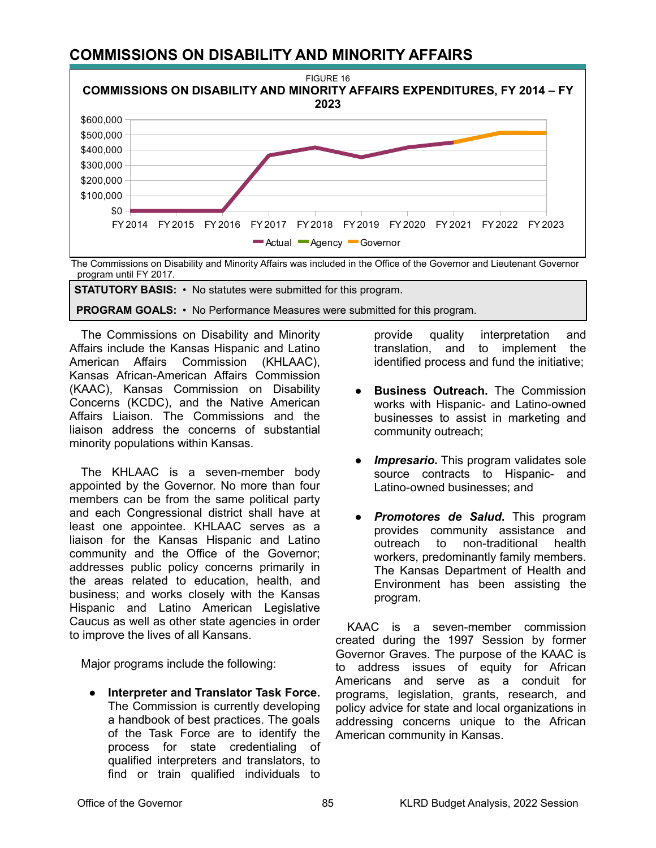# **COMMISSIONS ON DISABILITY AND MINORITY AFFAIRS**



**STATUTORY BASIS: • No statutes were submitted for this program.** 

**PROGRAM GOALS:** • No Performance Measures were submitted for this program.

The Commissions on Disability and Minority Affairs include the Kansas Hispanic and Latino American Affairs Commission (KHLAAC), Kansas African-American Affairs Commission (KAAC), Kansas Commission on Disability Concerns (KCDC), and the Native American Affairs Liaison. The Commissions and the liaison address the concerns of substantial minority populations within Kansas.

The KHLAAC is a seven-member body appointed by the Governor. No more than four members can be from the same political party and each Congressional district shall have at least one appointee. KHLAAC serves as a liaison for the Kansas Hispanic and Latino community and the Office of the Governor; addresses public policy concerns primarily in the areas related to education, health, and business; and works closely with the Kansas Hispanic and Latino American Legislative Caucus as well as other state agencies in order to improve the lives of all Kansans.

Major programs include the following:

● **Interpreter and Translator Task Force.** The Commission is currently developing a handbook of best practices. The goals of the Task Force are to identify the process for state credentialing of qualified interpreters and translators, to find or train qualified individuals to provide quality interpretation and translation, and to implement the identified process and fund the initiative;

- **Business Outreach.** The Commission works with Hispanic- and Latino-owned businesses to assist in marketing and community outreach;
- *Impresario***.** This program validates sole source contracts to Hispanic- and Latino-owned businesses; and
- *Promotores de Salud***.** This program provides community assistance and outreach to non-traditional health workers, predominantly family members. The Kansas Department of Health and Environment has been assisting the program.

KAAC is a seven-member commission created during the 1997 Session by former Governor Graves. The purpose of the KAAC is to address issues of equity for African Americans and serve as a conduit for programs, legislation, grants, research, and policy advice for state and local organizations in addressing concerns unique to the African American community in Kansas.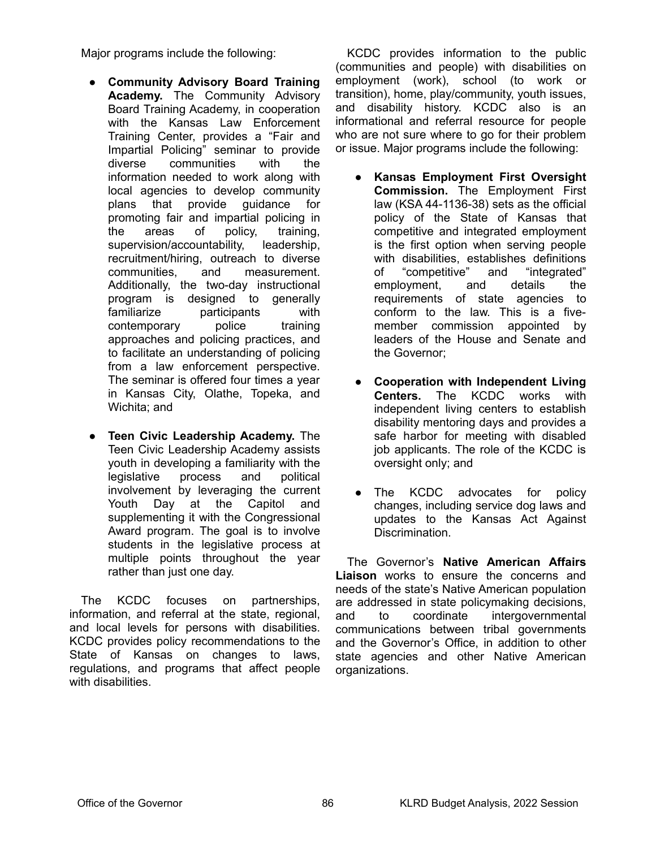Major programs include the following:

- **Community Advisory Board Training Academy.** The Community Advisory Board Training Academy, in cooperation with the Kansas Law Enforcement Training Center, provides a "Fair and Impartial Policing" seminar to provide diverse communities with the information needed to work along with local agencies to develop community plans that provide guidance for promoting fair and impartial policing in the areas of policy, training, supervision/accountability, leadership, recruitment/hiring, outreach to diverse communities, and measurement. Additionally, the two-day instructional program is designed to generally familiarize participants with contemporary police training approaches and policing practices, and to facilitate an understanding of policing from a law enforcement perspective. The seminar is offered four times a year in Kansas City, Olathe, Topeka, and Wichita; and
- **Teen Civic Leadership Academy.** The Teen Civic Leadership Academy assists youth in developing a familiarity with the legislative process and political involvement by leveraging the current Youth Day at the Capitol and supplementing it with the Congressional Award program. The goal is to involve students in the legislative process at multiple points throughout the year rather than just one day.

The KCDC focuses on partnerships, information, and referral at the state, regional, and local levels for persons with disabilities. KCDC provides policy recommendations to the State of Kansas on changes to laws, regulations, and programs that affect people with disabilities.

KCDC provides information to the public (communities and people) with disabilities on employment (work), school (to work or transition), home, play/community, youth issues, and disability history. KCDC also is an informational and referral resource for people who are not sure where to go for their problem or issue. Major programs include the following:

- **Kansas Employment First Oversight Commission.** The Employment First law (KSA 44-1136-38) sets as the official policy of the State of Kansas that competitive and integrated employment is the first option when serving people with disabilities, establishes definitions of "competitive" and "integrated" employment, and details the requirements of state agencies to conform to the law. This is a fivemember commission appointed by leaders of the House and Senate and the Governor;
- **Cooperation with Independent Living Centers.** The KCDC works with independent living centers to establish disability mentoring days and provides a safe harbor for meeting with disabled job applicants. The role of the KCDC is oversight only; and
- The KCDC advocates for policy changes, including service dog laws and updates to the Kansas Act Against Discrimination.

The Governor's **Native American Affairs Liaison** works to ensure the concerns and needs of the state's Native American population are addressed in state policymaking decisions, and to coordinate intergovernmental communications between tribal governments and the Governor's Office, in addition to other state agencies and other Native American organizations.